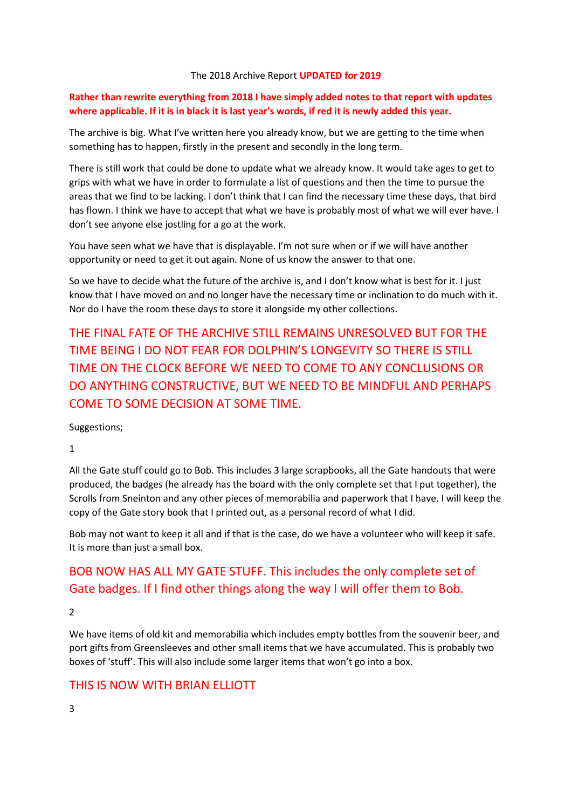#### The 2018 Archive Report **UPDATED for 2019**

### **Rather than rewrite everything from 2018 I have simply added notes to that report with updates where applicable. If it is in black it is last year's words, if red it is newly added this year.**

The archive is big. What I've written here you already know, but we are getting to the time when something has to happen, firstly in the present and secondly in the long term.

There is still work that could be done to update what we already know. It would take ages to get to grips with what we have in order to formulate a list of questions and then the time to pursue the areas that we find to be lacking. I don't think that I can find the necessary time these days, that bird has flown. I think we have to accept that what we have is probably most of what we will ever have. I don't see anyone else jostling for a go at the work.

You have seen what we have that is displayable. I'm not sure when or if we will have another opportunity or need to get it out again. None of us know the answer to that one.

So we have to decide what the future of the archive is, and I don't know what is best for it. I just know that I have moved on and no longer have the necessary time or inclination to do much with it. Nor do I have the room these days to store it alongside my other collections.

THE FINAL FATE OF THE ARCHIVE STILL REMAINS UNRESOLVED BUT FOR THE TIME BEING I DO NOT FEAR FOR DOLPHIN'S LONGEVITY SO THERE IS STILL TIME ON THE CLOCK BEFORE WE NEED TO COME TO ANY CONCLUSIONS OR DO ANYTHING CONSTRUCTIVE, BUT WE NEED TO BE MINDFUL AND PERHAPS COME TO SOME DECISION AT SOME TIME.

Suggestions;

1

All the Gate stuff could go to Bob. This includes 3 large scrapbooks, all the Gate handouts that were produced, the badges (he already has the board with the only complete set that I put together), the Scrolls from Sneinton and any other pieces of memorabilia and paperwork that I have. I will keep the copy of the Gate story book that I printed out, as a personal record of what I did.

Bob may not want to keep it all and if that is the case, do we have a volunteer who will keep it safe. It is more than just a small box.

# BOB NOW HAS ALL MY GATE STUFF. This includes the only complete set of Gate badges. If I find other things along the way I will offer them to Bob.

2

We have items of old kit and memorabilia which includes empty bottles from the souvenir beer, and port gifts from Greensleeves and other small items that we have accumulated. This is probably two boxes of 'stuff'. This will also include some larger items that won't go into a box.

## THIS IS NOW WITH BRIAN ELLIOTT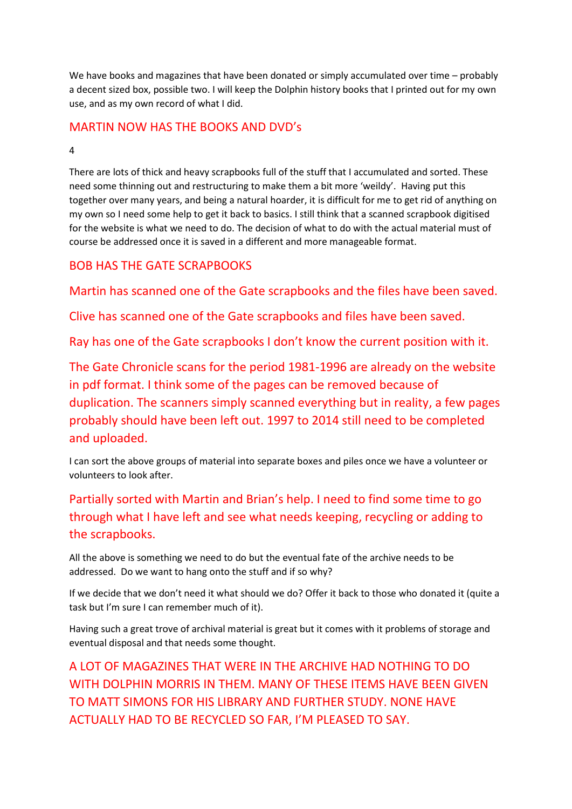We have books and magazines that have been donated or simply accumulated over time – probably a decent sized box, possible two. I will keep the Dolphin history books that I printed out for my own use, and as my own record of what I did.

## MARTIN NOW HAS THE BOOKS AND DVD's

### 4

There are lots of thick and heavy scrapbooks full of the stuff that I accumulated and sorted. These need some thinning out and restructuring to make them a bit more 'weildy'. Having put this together over many years, and being a natural hoarder, it is difficult for me to get rid of anything on my own so I need some help to get it back to basics. I still think that a scanned scrapbook digitised for the website is what we need to do. The decision of what to do with the actual material must of course be addressed once it is saved in a different and more manageable format.

## BOB HAS THE GATE SCRAPBOOKS

Martin has scanned one of the Gate scrapbooks and the files have been saved.

Clive has scanned one of the Gate scrapbooks and files have been saved.

Ray has one of the Gate scrapbooks I don't know the current position with it.

The Gate Chronicle scans for the period 1981-1996 are already on the website in pdf format. I think some of the pages can be removed because of duplication. The scanners simply scanned everything but in reality, a few pages probably should have been left out. 1997 to 2014 still need to be completed and uploaded.

I can sort the above groups of material into separate boxes and piles once we have a volunteer or volunteers to look after.

Partially sorted with Martin and Brian's help. I need to find some time to go through what I have left and see what needs keeping, recycling or adding to the scrapbooks.

All the above is something we need to do but the eventual fate of the archive needs to be addressed. Do we want to hang onto the stuff and if so why?

If we decide that we don't need it what should we do? Offer it back to those who donated it (quite a task but I'm sure I can remember much of it).

Having such a great trove of archival material is great but it comes with it problems of storage and eventual disposal and that needs some thought.

A LOT OF MAGAZINES THAT WERE IN THE ARCHIVE HAD NOTHING TO DO WITH DOLPHIN MORRIS IN THEM. MANY OF THESE ITEMS HAVE BEEN GIVEN TO MATT SIMONS FOR HIS LIBRARY AND FURTHER STUDY. NONE HAVE ACTUALLY HAD TO BE RECYCLED SO FAR, I'M PLEASED TO SAY.